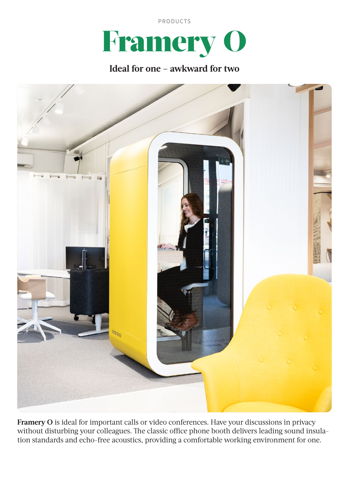PRODUCTS



# **Ideal for one – awkward for two**



**Framery O** is ideal for important calls or video conferences. Have your discussions in privacy without disturbing your colleagues. The classic office phone booth delivers leading sound insulation standards and echo-free acoustics, providing a comfortable working environment for one.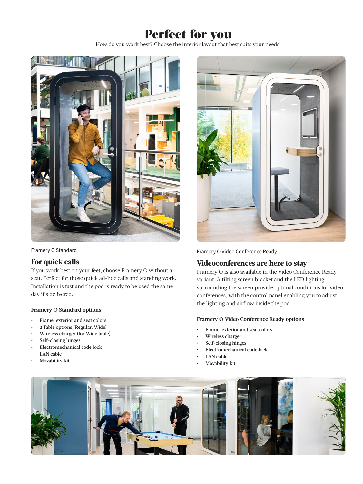# Perfect for you

How do you work best? Choose the interior layout that best suits your needs.





## **For quick calls**

If you work best on your feet, choose Framery O without a seat. Perfect for those quick ad-hoc calls and standing work. Installation is fast and the pod is ready to be used the same day it's delivered.

#### **Framery O Standard options**

- Frame, exterior and seat colors
- 2 Table options (Regular, Wide)
- Wireless charger (for Wide table)
- Self-closing hinges
- Electromechanical code lock
- LAN cable
- Movability kit



Framery O Video Conference Ready

## **Videoconferences are here to stay**

Framery O is also available in the Video Conference Ready variant. A tilting screen bracket and the LED lighting surrounding the screen provide optimal conditions for videoconferences, with the control panel enabling you to adjust the lighting and airflow inside the pod.

#### **Framery O Video Conference Ready options**

- Frame, exterior and seat colors
- Wireless charger
- Self-closing hinges
- Electromechanical code lock
- LAN cable
- Movability kit

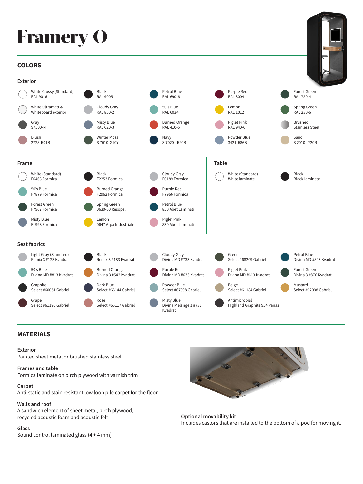# Framery O

**COLORS**



## **MATERIALS**

#### **Exterior**

Painted sheet metal or brushed stainless steel

#### **Frames and table**

Formica laminate on birch plywood with varnish trim

#### **Carpet**

Anti-static and stain resistant low loop pile carpet for the floor

#### **Walls and roof**

A sandwich element of sheet metal, birch plywood, recycled acoustic foam and acoustic felt

#### **Glass**

Sound control laminated glass (4 + 4 mm)



**Optional movability kit** Includes castors that are installed to the bottom of a pod for moving it.